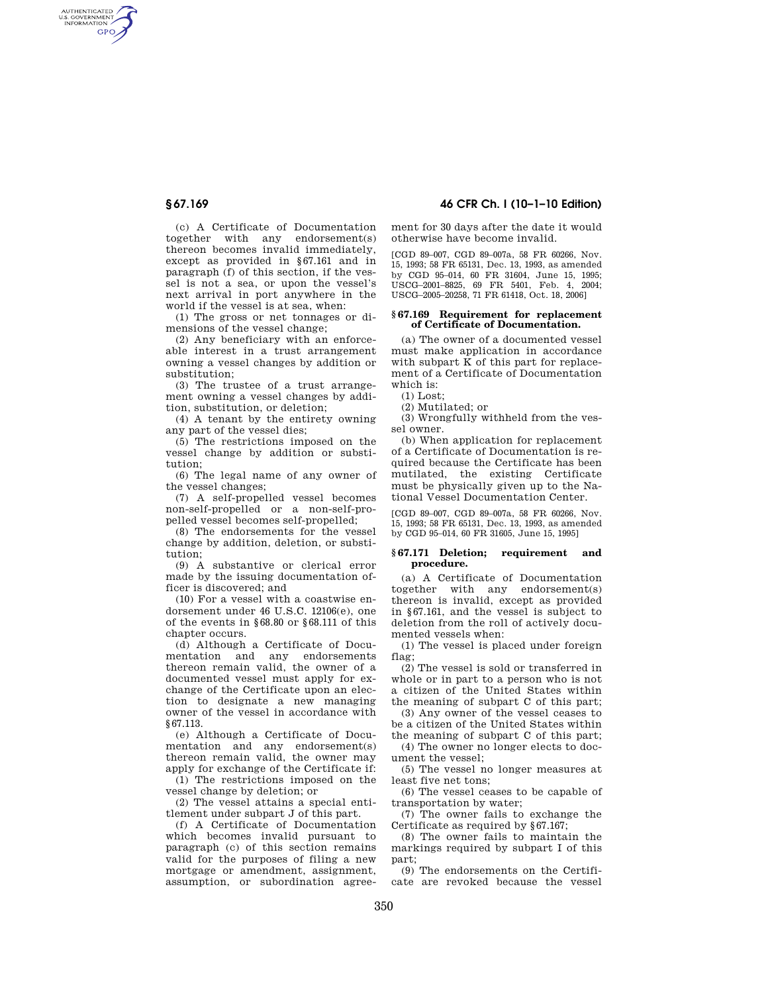AUTHENTICATED<br>U.S. GOVERNMENT<br>INFORMATION **GPO** 

> (c) A Certificate of Documentation together with any endorsement(s) thereon becomes invalid immediately, except as provided in §67.161 and in paragraph (f) of this section, if the vessel is not a sea, or upon the vessel's next arrival in port anywhere in the world if the vessel is at sea, when:

(1) The gross or net tonnages or dimensions of the vessel change;

(2) Any beneficiary with an enforceable interest in a trust arrangement owning a vessel changes by addition or substitution;

(3) The trustee of a trust arrangement owning a vessel changes by addition, substitution, or deletion;

(4) A tenant by the entirety owning any part of the vessel dies;

(5) The restrictions imposed on the vessel change by addition or substitution;

(6) The legal name of any owner of the vessel changes;

(7) A self-propelled vessel becomes non-self-propelled or a non-self-propelled vessel becomes self-propelled;

(8) The endorsements for the vessel change by addition, deletion, or substitution;

(9) A substantive or clerical error made by the issuing documentation officer is discovered; and

(10) For a vessel with a coastwise endorsement under 46 U.S.C. 12106(e), one of the events in §68.80 or §68.111 of this chapter occurs.

(d) Although a Certificate of Documentation and any endorsements thereon remain valid, the owner of a documented vessel must apply for exchange of the Certificate upon an election to designate a new managing owner of the vessel in accordance with §67.113.

(e) Although a Certificate of Documentation and any endorsement(s) thereon remain valid, the owner may apply for exchange of the Certificate if:

(1) The restrictions imposed on the vessel change by deletion; or

(2) The vessel attains a special entitlement under subpart J of this part.

(f) A Certificate of Documentation which becomes invalid pursuant to paragraph (c) of this section remains valid for the purposes of filing a new mortgage or amendment, assignment, assumption, or subordination agree-

**§ 67.169 46 CFR Ch. I (10–1–10 Edition)** 

ment for 30 days after the date it would otherwise have become invalid.

[CGD 89–007, CGD 89–007a, 58 FR 60266, Nov. 15, 1993; 58 FR 65131, Dec. 13, 1993, as amended by CGD 95–014, 60 FR 31604, June 15, 1995; USCG–2001–8825, 69 FR 5401, Feb. 4, 2004; USCG–2005–20258, 71 FR 61418, Oct. 18, 2006]

### **§ 67.169 Requirement for replacement of Certificate of Documentation.**

(a) The owner of a documented vessel must make application in accordance with subpart K of this part for replacement of a Certificate of Documentation which is:

(1) Lost;

(2) Mutilated; or

(3) Wrongfully withheld from the vessel owner.

(b) When application for replacement of a Certificate of Documentation is required because the Certificate has been mutilated, the existing Certificate must be physically given up to the National Vessel Documentation Center.

[CGD 89–007, CGD 89–007a, 58 FR 60266, Nov. 15, 1993; 58 FR 65131, Dec. 13, 1993, as amended by CGD 95–014, 60 FR 31605, June 15, 1995]

## **§ 67.171 Deletion; requirement and procedure.**

(a) A Certificate of Documentation together with any endorsement(s) thereon is invalid, except as provided in §67.161, and the vessel is subject to deletion from the roll of actively documented vessels when:

(1) The vessel is placed under foreign flag;

(2) The vessel is sold or transferred in whole or in part to a person who is not a citizen of the United States within the meaning of subpart C of this part;

(3) Any owner of the vessel ceases to be a citizen of the United States within the meaning of subpart C of this part; (4) The owner no longer elects to doc-

ument the vessel;

(5) The vessel no longer measures at least five net tons;

(6) The vessel ceases to be capable of transportation by water;

(7) The owner fails to exchange the Certificate as required by §67.167;

(8) The owner fails to maintain the markings required by subpart I of this part;

(9) The endorsements on the Certificate are revoked because the vessel